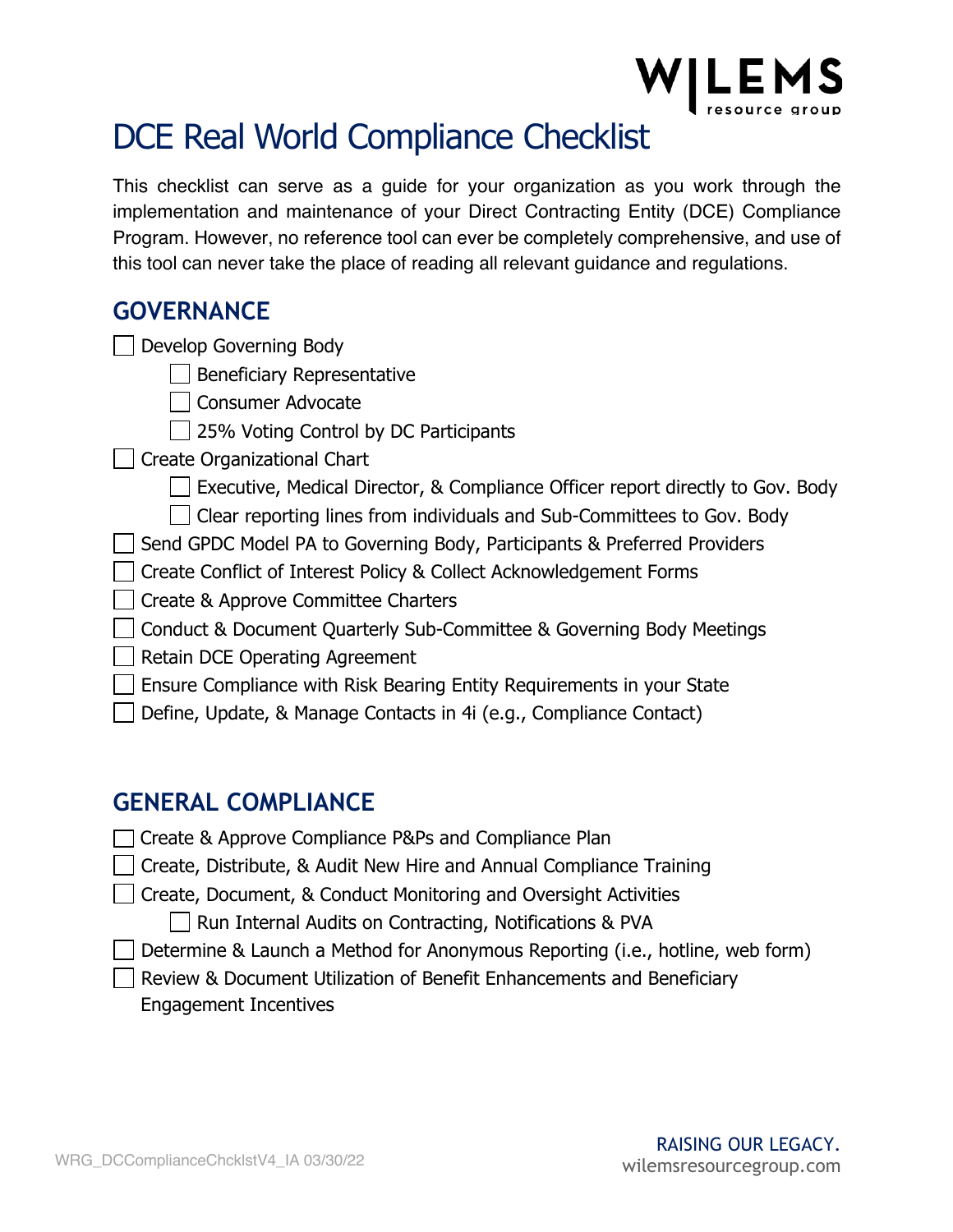

## DCE Real World Compliance Checklist

This checklist can serve as a guide for your organization as you work through the implementation and maintenance of your Direct Contracting Entity (DCE) Compliance Program. However, no reference tool can ever be completely comprehensive, and use of this tool can never take the place of reading all relevant guidance and regulations.

#### **GOVERNANCE**

Develop Governing Body

| Beneficiary Representative

□ Consumer Advocate

 $\Box$  25% Voting Control by DC Participants

□ Create Organizational Chart

Executive, Medical Director, & Compliance Officer report directly to Gov. Body

 $\vert$   $\vert$  Clear reporting lines from individuals and Sub-Committees to Gov. Body

Send GPDC Model PA to Governing Body, Participants & Preferred Providers

□ Create Conflict of Interest Policy & Collect Acknowledgement Forms

Create & Approve Committee Charters

 $\Box$  Conduct & Document Quarterly Sub-Committee & Governing Body Meetings

 $\Box$  Retain DCE Operating Agreement

Ensure Compliance with Risk Bearing Entity Requirements in your State

Define, Update, & Manage Contacts in 4i (e.g., Compliance Contact)

### **GENERAL COMPLIANCE**

◯ Create & Approve Compliance P&Ps and Compliance Plan

| Create, Distribute, & Audit New Hire and Annual Compliance Training

Create, Document, & Conduct Monitoring and Oversight Activities

 $\Box$  Run Internal Audits on Contracting, Notifications & PVA

Determine & Launch a Method for Anonymous Reporting (i.e., hotline, web form)

Review & Document Utilization of Benefit Enhancements and Beneficiary Engagement Incentives